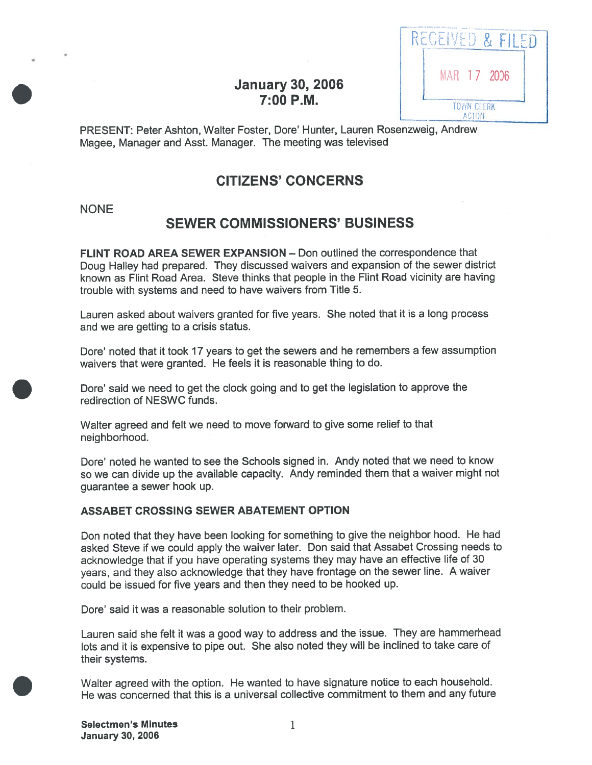| КF<br>VHL.<br>FIL            |  |
|------------------------------|--|
| MAR 17 2006                  |  |
| TO AIN CLERK<br><b>ACTON</b> |  |

## **January 30, 2006**  $7:00$  P.M.

PRESENT: Peter Ashton, Walter Foster, Dore' Hunter, Lauren Rosenzweig, Andrew Magee, Manager and Asst. Manager. The meeting was televised

# CITIZENS' CONCERNS

### NONE

# SEWER COMMISSIONERS' BUSINESS

FLINT ROAD AREA SEWER EXPANSION — Don outlined the correspondence that Doug Halley had prepared. They discussed waivers and expansion of the sewer district known as Flint Road Area. Steve thinks that people in the Flint Road vicinity are having trouble with systems and need to have waivers from Title 5.

Lauren asked about waivers granted for five years. She noted that it is <sup>a</sup> long process and we are getting to <sup>a</sup> crisis status.

Dore' noted that it took <sup>17</sup> years to ge<sup>t</sup> the sewers and he remembers <sup>a</sup> few assumption waivers that were granted. He feels it is reasonable thing to do.

Dore' said we need to ge<sup>t</sup> the clock going and to ge<sup>t</sup> the legislation to approve the redirection of NESWC funds.

Walter agree<sup>d</sup> and felt we need to move forward to <sup>g</sup>ive some relief to that neighborhood.

Dore' noted he wanted to see the Schools signed in. Andy noted that we need to know so we can divide up the available capacity. Andy reminded them that <sup>a</sup> waiver might not guarantee <sup>a</sup> sewer hook up.

### ASSABET CROSSING SEWER ABATEMENT OPTION

Don noted that they have been looking for something to <sup>g</sup>ive the neighbor hood. He had asked Steve if we could apply the waiver later. Don said that Assabet Crossing needs to acknowledge that if you have operating systems they may have an effective life of <sup>30</sup> years, and they also acknowledge that they have frontage on the sewer line. <sup>A</sup> waiver could be issued for five years and then they need to be hooked up.

Dore' said it was a reasonable solution to their problem.

Lauren said she felt it was <sup>a</sup> goo<sup>d</sup> way to address and the issue. They are hammerhead lots and it is expensive to <sup>p</sup>ipe out. She also noted they will be inclined to take care of their systems.

Walter agree<sup>d</sup> with the option. He wanted to have signature notice to each household. He was concerned that this is <sup>a</sup> universal collective commitment to them and any future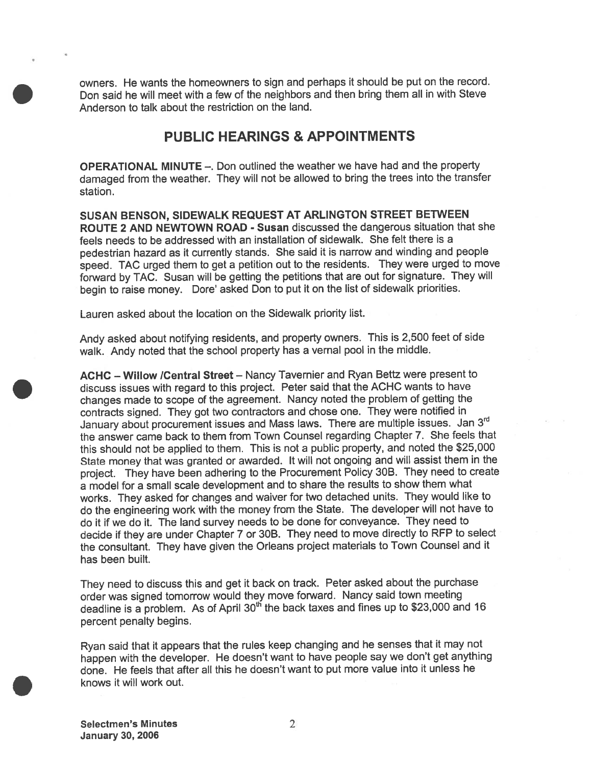owners. He wants the homeowners to sign and perhaps it should be pu<sup>t</sup> on the record. Don said he will meet with <sup>a</sup> few of the neighbors and then bring them all in with Steve Anderson to talk about the restriction on the land.

### PUBLIC HEARINGS & APPOINTMENTS

OPERATIONAL MINUTE —. Don outlined the weather we have had and the property damaged from the weather. They will not be allowed to bring the trees into the transfer station.

SUSAN BENSON, SIDEWALK REQUEST AT ARLINGTON STREET BETWEEN ROUTE 2 AND NEWTOWN ROAD - Susan discussed the dangerous situation that she feels needs to be addressed with an installation of sidewalk. She felt there is <sup>a</sup> pedestrian hazard as it currently stands. She said it is narrow and winding and people speed. TAC urge<sup>d</sup> them to ge<sup>t</sup> <sup>a</sup> petition out to the residents. They were urge<sup>d</sup> to move forward by TAC. Susan will be getting the petitions that are out for signature. They will begin to raise money. Dore' asked Don to pu<sup>t</sup> it on the list of sidewalk priorities.

Lauren asked about the location on the Sidewalk priority list.

Andy asked about notifying residents, and property owners. This is 2,500 feet of side walk. Andy noted that the school property has <sup>a</sup> vernal poo<sup>l</sup> in the middle.

ACHC — Willow ICentral Street — Nancy Tavernier and Ryan Bettz were presen<sup>t</sup> to discuss issues with regar<sup>d</sup> to this project. Peter said that the ACHC wants to have changes made to scope of the agreement. Nancy noted the problem of getting the contracts signed. They go<sup>t</sup> two contractors and chose one. They were notified in January about procurement issues and Mass laws. There are multiple issues. Jan 3<sup>rd</sup> the answer came back to them from Town Counsel regarding Chapter 7. She feels that this should not be applied to them. This is not <sup>a</sup> public property, and noted the \$25,000 State money that was granted or awarded. It will not ongoing and will assist them in the project. They have been adhering to the Procurement Policy 30B. They need to create <sup>a</sup> model for <sup>a</sup> small scale development and to share the results to show them what works. They asked for changes and waiver for two detached units. They would like to do the engineering work with the money from the State. The developer will not have to do it if we do it. The land survey needs to be done for conveyance. They need to decide if they are under Chapter <sup>7</sup> or 3DB. They need to move directly to REP to select the consultant. They have <sup>g</sup>iven the Orleans project materials to Town Counsel and it has been built.

They need to discuss this and ge<sup>t</sup> it back on track. Peter asked about the purchase order was signed tomorrow would they move forward. Nancy said town meeting deadline is a problem. As of April  $30<sup>th</sup>$  the back taxes and fines up to \$23,000 and 16 percen<sup>t</sup> penalty begins.

Ryan said that ft appears that the rules keep changing and he senses that it may not happen with the developer. He doesn't want to have people say we don't ge<sup>t</sup> anything done. He feels that after all this he doesn't want to pu<sup>t</sup> more value into it unless he knows it will work out.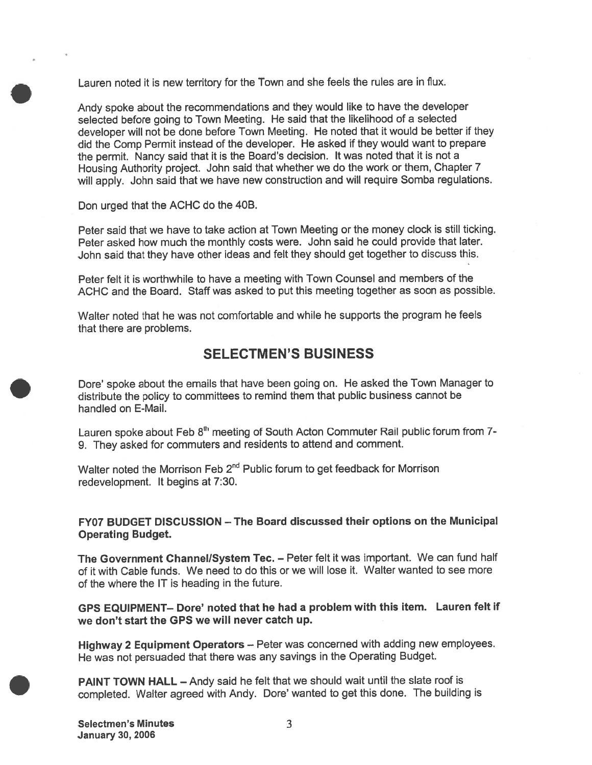Lauren noted it is new territory for the Town and she feels the rules are in flux.

Andy spoke about the recommendations and they would like to have the developer selected before going to Town Meeting. He said that the likelihood of <sup>a</sup> selected developer will not be done before Town Meeting. He noted that it would be better if they did the Comp Permit instead of the developer. He asked if they would want to prepare the permit. Nancy said that it is the Board's decision. It was noted that it is not <sup>a</sup> Housing Authority project. John said that whether we do the work or them, Chapter <sup>7</sup> will apply. John said that we have new construction and will require Somba regulations.

Don urged that the ACHC do the 40B.

Peter said that we have to take action at Town Meeting or the money clock is still ticking. Peter asked how much the monthly costs were. John said he could provide that later. John said that they have other ideas and felt they should ge<sup>t</sup> together to discuss this.

Peter felt it is worthwhile to have <sup>a</sup> meeting with Town Counsel and members of the ACHC and the Board. Staff was asked to pu<sup>t</sup> this meeting together as soon as possible.

Walter noted that he was not comfortable and while he supports the program he feels that there are problems.

### SELECTMEN'S BUSINESS

Dore' spoke about the emails that have been going on. He asked the Town Manager to distribute the policy to committees to remind them that public business cannot be handled on E-Mail.

Lauren spoke about Feb 8<sup>th</sup> meeting of South Acton Commuter Rail public forum from 7-9. They asked for commuters and residents to attend and comment.

Walter noted the Morrison Feb  $2^{nd}$  Public forum to get feedback for Morrison redevelopment. It begins at 7:30.

FY07 BUDGET DISCUSSION — The Board discussed their options on the Municipal Operating Budget.

The Government Channel/System Tec. — Peter felt it was important. We can fund half of it with Cable funds. We need to do this or we will lose it. Walter wanted to see more of the where the IT is heading in the future.

GPS EQUIPMENT— Dote' noted that he had <sup>a</sup> problem with this item. Lauren felt if we don't start the GPS we will never catch up.

Highway <sup>2</sup> Equipment Operators — Peter was concerned with adding new employees. He was not persuaded that there was any savings in the Operating Budget.

PAINT TOWN HALL — Andy said he felt that we should wait until the slate roof is completed. Walter agree<sup>d</sup> with Andy. Dore' wanted to ge<sup>t</sup> this done. The building is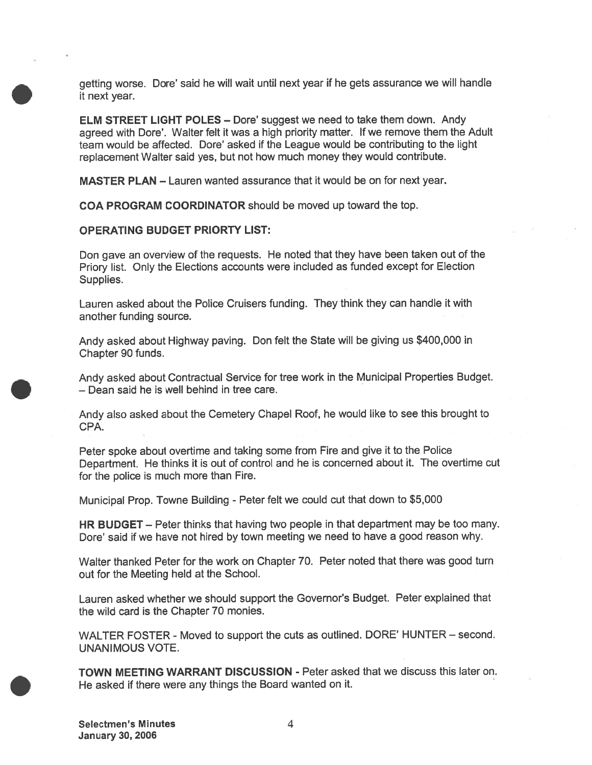getting worse. Dore' said he will wait until next year if he gets assurance we will handle it next year.

ELM STREET LIGHT POLES — Dore' sugges<sup>t</sup> we need to take them down. Andy agreed with Dore'. Walter felt it was <sup>a</sup> high priority matter. If we remove them the Adult team would be affected. Dore' asked if the League would be contributing to the light replacement Walter said yes, but not how much money they would contribute.

MASTER PLAN — Lauren wanted assurance that it would be on for next year.

COA PROGRAM COORDINATOR should be moved up toward the top.

### OPERATING BUDGET PRIORTY LIST:

Don gave an overview of the requests. He noted that they have been taken out of the Priory list. Only the Elections accounts were included as funded excep<sup>t</sup> for Election Supplies.

Lauren asked about the Police Cruisers funding. They think they can handle it with another funding source.

Andy asked about Highway paving. Don felt the State will be <sup>g</sup>iving us \$400,000 in Chapter 90 funds.

Andy asked about Contractual Service for tree work in the Municipal Properties Budget. — Dean said he is well behind in tree care.

Andy also asked about the Cemetery Chapel Roof, he would like to see this brought to CPA.

Peter spoke about overtime and taking some from Fire and <sup>g</sup>ive it to the Police Department. He thinks it is out of control and he is concerned about it. The overtime cut for the police is much more than Fire.

Municipal Prop. Towne Building - Peter felt we could cut that down to \$5,000

HR BUDGET — Peter thinks that having two people in that department may be too many. Dore' said if we have not hired by town meeting we need to have <sup>a</sup> good reason why.

Walter thanked Peter for the work on Chapter 70. Peter noted that there was good turn out for the Meeting held at the School.

Lauren asked whether we should suppor<sup>t</sup> the Governor's Budget. Peter explained that the wild card is the Chapter 70 monies.

WALTER FOSTER - Moved to suppor<sup>t</sup> the cuts as outlined. DORE' HUNTER — second. UNANIMOUS VOTE.

TOWN MEETING WARRANT DISCUSSION - Peter asked that we discuss this later on. He asked if there were any things the Board wanted on it.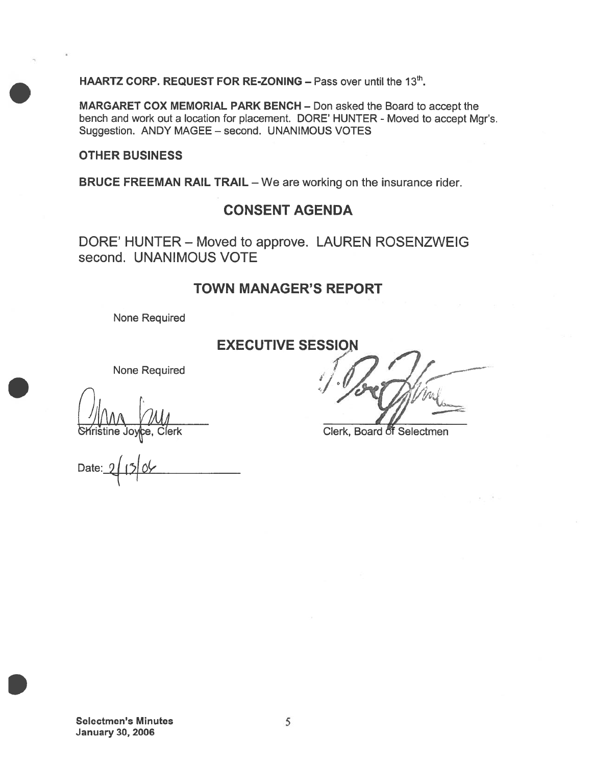HAARTZ CORP. REQUEST FOR RE-ZONING  $-$  Pass over until the 13<sup>th</sup>.

MARGARET COX MEMORIAL PARK BENCH — Don asked the Board to accep<sup>t</sup> the bench and work out a location for placement. DORE' HUNTER - Moved to accept Mgr's. Suggestion. ANDY MAGEE — second. UNANIMOUS VOTES

### OTHER BUSINESS

BRUCE FREEMAN RAIL TRAIL — We are working on the insurance rider.

### CONSENT AGENDA

DORE' HUNTER — Moved to approve. LAUREN ROSENZWEIG second. UNANIMOUS VOTE

### TOWN MANAGER'S REPORT

None Required

### EXECUTIVE SESSION

None Required

Date:

 $\frac{1}{2}$  1 h h  $\frac{1}{2}$  h  $\frac{1}{2}$  h  $\frac{1}{2}$  h  $\frac{1}{2}$  h  $\frac{1}{2}$  h  $\frac{1}{2}$  h  $\frac{1}{2}$  h  $\frac{1}{2}$  h  $\frac{1}{2}$  h  $\frac{1}{2}$  h  $\frac{1}{2}$  h  $\frac{1}{2}$  h  $\frac{1}{2}$  h  $\frac{1}{2}$  h  $\frac{1}{2}$  h  $\frac{1}{2}$  h  $\frac{1}{2}$  h

**Clerk** Clerk, Board of Selectmen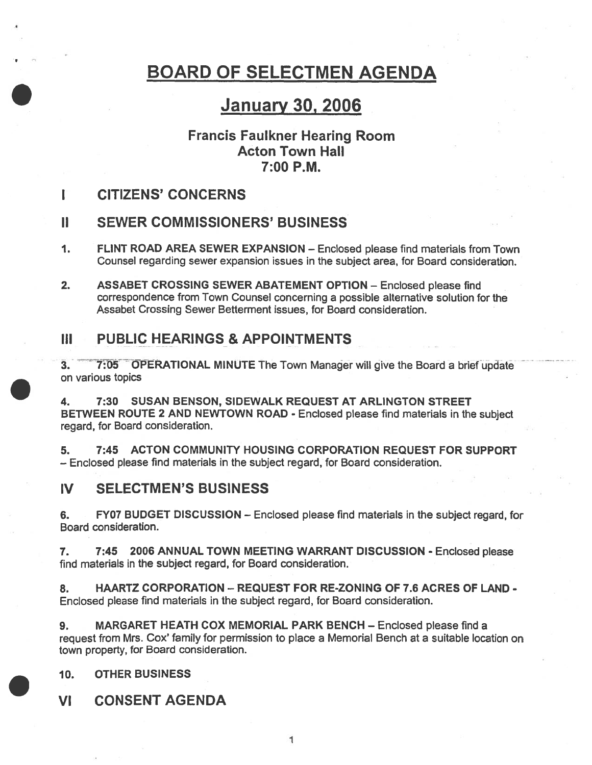# BOARD OF SELECTMEN AGENDA

# January 30, 2006

## Francis Faulkner Hearing Room Aóton Town Hall 7:00 P.M.

CITIZENS' CONCERNS

# II SEWER COMMISSIONERS' BUSINESS

- 1. FLINT ROAD AREA SEWER EXPANSION Enclosed please find materials from Town Counsel regarding sewer expansion issues in the subject area, for Board consideration.
- 2. ASSABET CROSSING SEWER ABATEMENT OPTION Enclosed <sup>p</sup>lease find correspondence from Town Counsel concerning <sup>a</sup> possible alternative solution for the Assabet Crossing Sewer Betterment issues, for Board consideration.

# III PUBLIC HEARINGS & APPOINTMENTS

3. 7:05 OPERATIONAL MINUTE The Town Manager will give the Board <sup>a</sup> brief update on various topics

4. 7:30 SUSAN BENSON, SIDEWALK REQUEST AT ARLINGTON STREET BETWEEN ROUTE <sup>2</sup> AND NEWTOWN ROAD - Enclosed <sup>p</sup>lease find materials in the subject regard, for Board consideration.

5. 7:45 ACTON COMMUNITY HOUSING CORPORATION REQUEST FOR SUPPORT — Enclosed please find materials in the subject regard, for Board consideration.

## IV SELECTMEN'S BUSINESS

6. FY07 BUDGET DISCUSSION — Enclosed please find materials in the subject regard, for Board consideration.

7. 7:45 2006 ANNUAL TOWN MEETING WARRANT DISCUSSION - Enclosed please find materials in the subject regard, for Board consideration.

8. HAARTZ CORPORATION - REQUEST FOR RE-ZONING OF 7.6 ACRES OF LAND -Enclosed please find materials in the subject regard, for Board consideration.

9. MARGARET HEATH COX MEMORIAL PARK BENCH — Enclosed please find <sup>a</sup> reques<sup>t</sup> from Mrs. Cox' family for permission to <sup>p</sup>lace <sup>a</sup> Memorial Bench at <sup>a</sup> suitable location on town property, for Board consideration.

10. OTHER BUSINESS

VI CONSENT AGENDA

1